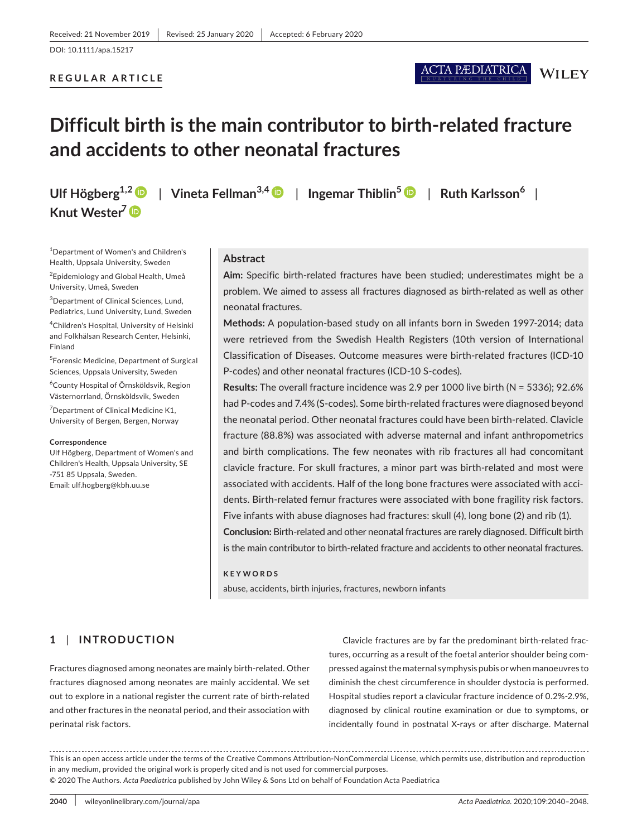# **REGULAR ARTICLE**

**WILEY** 

# **Difficult birth is the main contributor to birth-related fracture and accidents to other neonatal fractures**

**Knut Wester<sup>7</sup>**

**Ulf Högberg1,[2](https://orcid.org/0000-0002-2121-7511)** | **Vineta Fellman3,4** | **Ingemar Thiblin<sup>5</sup>** | **Ruth Karlsson<sup>6</sup>** |

1 Department of Women's and Children's Health, Uppsala University, Sweden

2 Epidemiology and Global Health, Umeå University, Umeå, Sweden

<sup>3</sup>Department of Clinical Sciences, Lund, Pediatrics, Lund University, Lund, Sweden

4 Children's Hospital, University of Helsinki and Folkhälsan Research Center, Helsinki, Finland

5 Forensic Medicine, Department of Surgical Sciences, Uppsala University, Sweden

6 County Hospital of Örnsköldsvik, Region Västernorrland, Örnsköldsvik, Sweden

<sup>7</sup> Department of Clinical Medicine K1, University of Bergen, Bergen, Norway

#### **Correspondence**

Ulf Högberg, Department of Women's and Children's Health, Uppsala University, SE -751 85 Uppsala, Sweden. Email: [ulf.hogberg@kbh.uu.se](mailto:ulf.hogberg@kbh.uu.se)

# **Abstract**

**Aim:** Specific birth-related fractures have been studied; underestimates might be a problem. We aimed to assess all fractures diagnosed as birth-related as well as other neonatal fractures.

**Methods:** A population-based study on all infants born in Sweden 1997-2014; data were retrieved from the Swedish Health Registers (10th version of International Classification of Diseases. Outcome measures were birth-related fractures (ICD-10 P-codes) and other neonatal fractures (ICD-10 S-codes).

**Results:** The overall fracture incidence was 2.9 per 1000 live birth (N = 5336); 92.6% had P-codes and 7.4% (S-codes). Some birth-related fractures were diagnosed beyond the neonatal period. Other neonatal fractures could have been birth-related. Clavicle fracture (88.8%) was associated with adverse maternal and infant anthropometrics and birth complications. The few neonates with rib fractures all had concomitant clavicle fracture. For skull fractures, a minor part was birth-related and most were associated with accidents. Half of the long bone fractures were associated with accidents. Birth-related femur fractures were associated with bone fragility risk factors. Five infants with abuse diagnoses had fractures: skull (4), long bone (2) and rib (1). **Conclusion:** Birth-related and other neonatal fractures are rarely diagnosed. Difficult birth is the main contributor to birth-related fracture and accidents to other neonatal fractures.

#### **KEYWORDS**

abuse, accidents, birth injuries, fractures, newborn infants

# **1** | **INTRODUCTION**

Fractures diagnosed among neonates are mainly birth-related. Other fractures diagnosed among neonates are mainly accidental. We set out to explore in a national register the current rate of birth-related and other fractures in the neonatal period, and their association with perinatal risk factors.

Clavicle fractures are by far the predominant birth-related fractures, occurring as a result of the foetal anterior shoulder being compressed against the maternal symphysis pubis or when manoeuvres to diminish the chest circumference in shoulder dystocia is performed. Hospital studies report a clavicular fracture incidence of 0.2%-2.9%, diagnosed by clinical routine examination or due to symptoms, or incidentally found in postnatal X-rays or after discharge. Maternal

This is an open access article under the terms of the [Creative Commons Attribution-NonCommercial](http://creativecommons.org/licenses/by-nc/4.0/) License, which permits use, distribution and reproduction in any medium, provided the original work is properly cited and is not used for commercial purposes. © 2020 The Authors. *Acta Paediatrica* published by John Wiley & Sons Ltd on behalf of Foundation Acta Paediatrica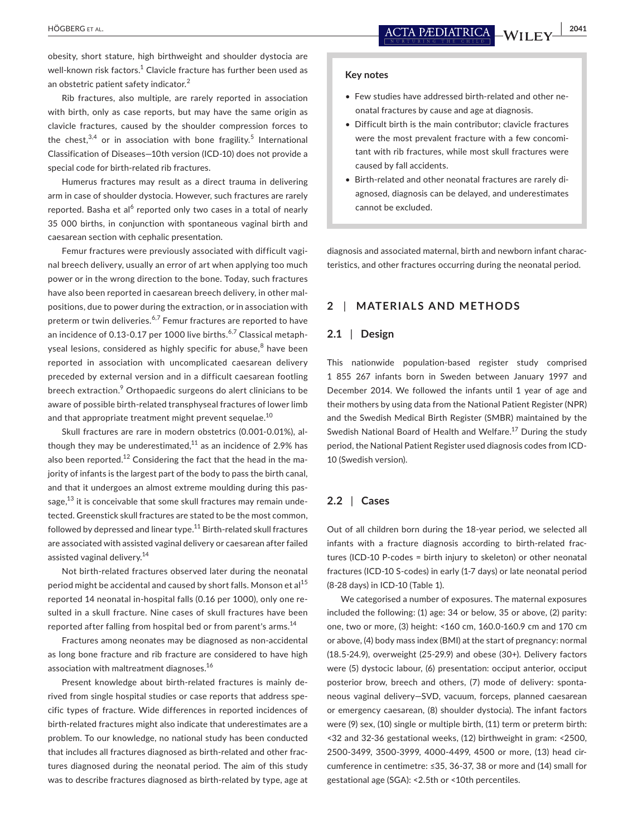obesity, short stature, high birthweight and shoulder dystocia are well-known risk factors. $^1$  Clavicle fracture has further been used as an obstetric patient safety indicator.<sup>2</sup>

Rib fractures, also multiple, are rarely reported in association with birth, only as case reports, but may have the same origin as clavicle fractures, caused by the shoulder compression forces to the chest, $3,4$  or in association with bone fragility.<sup>5</sup> International Classification of Diseases—10th version (ICD-10) does not provide a special code for birth-related rib fractures.

Humerus fractures may result as a direct trauma in delivering arm in case of shoulder dystocia. However, such fractures are rarely reported. Basha et al<sup>6</sup> reported only two cases in a total of nearly 35 000 births, in conjunction with spontaneous vaginal birth and caesarean section with cephalic presentation.

Femur fractures were previously associated with difficult vaginal breech delivery, usually an error of art when applying too much power or in the wrong direction to the bone. Today, such fractures have also been reported in caesarean breech delivery, in other malpositions, due to power during the extraction, or in association with preterm or twin deliveries.<sup>6,7</sup> Femur fractures are reported to have an incidence of 0.13-0.17 per 1000 live births. $6,7$  Classical metaphyseal lesions, considered as highly specific for abuse,<sup>8</sup> have been reported in association with uncomplicated caesarean delivery preceded by external version and in a difficult caesarean footling breech extraction.<sup>9</sup> Orthopaedic surgeons do alert clinicians to be aware of possible birth-related transphyseal fractures of lower limb and that appropriate treatment might prevent sequelae.<sup>10</sup>

Skull fractures are rare in modern obstetrics (0.001-0.01%), although they may be underestimated, $^{11}$  as an incidence of 2.9% has also been reported.<sup>12</sup> Considering the fact that the head in the majority of infants is the largest part of the body to pass the birth canal, and that it undergoes an almost extreme moulding during this passage,<sup>13</sup> it is conceivable that some skull fractures may remain undetected. Greenstick skull fractures are stated to be the most common, followed by depressed and linear type. $^{11}$  Birth-related skull fractures are associated with assisted vaginal delivery or caesarean after failed assisted vaginal delivery*.* 14

Not birth-related fractures observed later during the neonatal period might be accidental and caused by short falls. Monson et al<sup>15</sup> reported 14 neonatal in-hospital falls (0.16 per 1000), only one resulted in a skull fracture. Nine cases of skull fractures have been reported after falling from hospital bed or from parent's arms.<sup>14</sup>

Fractures among neonates may be diagnosed as non-accidental as long bone fracture and rib fracture are considered to have high association with maltreatment diagnoses.<sup>16</sup>

Present knowledge about birth-related fractures is mainly derived from single hospital studies or case reports that address specific types of fracture. Wide differences in reported incidences of birth-related fractures might also indicate that underestimates are a problem. To our knowledge, no national study has been conducted that includes all fractures diagnosed as birth-related and other fractures diagnosed during the neonatal period. The aim of this study was to describe fractures diagnosed as birth-related by type, age at

#### **Key notes**

- Few studies have addressed birth-related and other neonatal fractures by cause and age at diagnosis.
- Difficult birth is the main contributor; clavicle fractures were the most prevalent fracture with a few concomitant with rib fractures, while most skull fractures were caused by fall accidents.
- Birth-related and other neonatal fractures are rarely diagnosed, diagnosis can be delayed, and underestimates cannot be excluded.

diagnosis and associated maternal, birth and newborn infant characteristics, and other fractures occurring during the neonatal period.

# **2** | **MATERIALS AND METHODS**

# **2.1** | **Design**

This nationwide population-based register study comprised 1 855 267 infants born in Sweden between January 1997 and December 2014. We followed the infants until 1 year of age and their mothers by using data from the National Patient Register (NPR) and the Swedish Medical Birth Register (SMBR) maintained by the Swedish National Board of Health and Welfare.<sup>17</sup> During the study period, the National Patient Register used diagnosis codes from ICD-10 (Swedish version).

#### **2.2** | **Cases**

Out of all children born during the 18-year period, we selected all infants with a fracture diagnosis according to birth-related fractures (ICD-10 P-codes = birth injury to skeleton) or other neonatal fractures (ICD-10 S-codes) in early (1-7 days) or late neonatal period (8-28 days) in ICD-10 (Table 1).

We categorised a number of exposures. The maternal exposures included the following: (1) age: 34 or below, 35 or above, (2) parity: one, two or more, (3) height: <160 cm, 160.0-160.9 cm and 170 cm or above, (4) body mass index (BMI) at the start of pregnancy: normal (18.5-24.9), overweight (25-29.9) and obese (30+). Delivery factors were (5) dystocic labour, (6) presentation: occiput anterior, occiput posterior brow, breech and others, (7) mode of delivery: spontaneous vaginal delivery—SVD, vacuum, forceps, planned caesarean or emergency caesarean, (8) shoulder dystocia). The infant factors were (9) sex, (10) single or multiple birth, (11) term or preterm birth: <32 and 32-36 gestational weeks, (12) birthweight in gram: <2500, 2500-3499, 3500-3999, 4000-4499, 4500 or more, (13) head circumference in centimetre: ≤35, 36-37, 38 or more and (14) small for gestational age (SGA): <2.5th or <10th percentiles.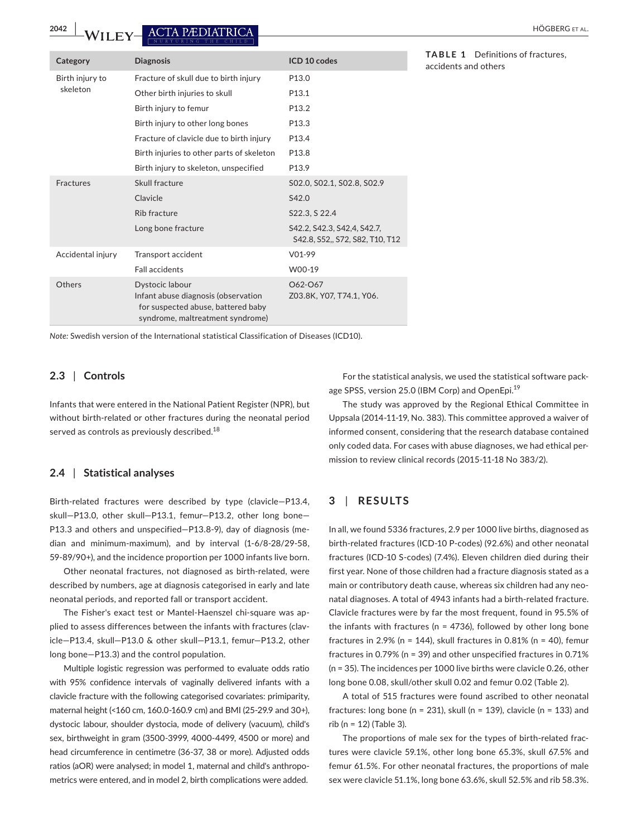**2042 |**  HÖGBERG et al.

| Category          | <b>Diagnosis</b>                                                                                                                 | ICD 10 codes                                                   |
|-------------------|----------------------------------------------------------------------------------------------------------------------------------|----------------------------------------------------------------|
| Birth injury to   | Fracture of skull due to birth injury                                                                                            | P <sub>13.0</sub>                                              |
| skeleton          | Other birth injuries to skull                                                                                                    | P <sub>13.1</sub>                                              |
|                   | Birth injury to femur                                                                                                            | P <sub>13.2</sub>                                              |
|                   | Birth injury to other long bones                                                                                                 | P <sub>13.3</sub>                                              |
|                   | Fracture of clavicle due to birth injury                                                                                         | P <sub>13.4</sub>                                              |
|                   | Birth injuries to other parts of skeleton                                                                                        | P <sub>13.8</sub>                                              |
|                   | Birth injury to skeleton, unspecified                                                                                            | P <sub>13.9</sub>                                              |
| <b>Fractures</b>  | Skull fracture                                                                                                                   | S02.0, S02.1, S02.8, S02.9                                     |
|                   | Clavicle                                                                                                                         | S42.0                                                          |
|                   | Rib fracture                                                                                                                     | S22.3, S 22.4                                                  |
|                   | Long bone fracture                                                                                                               | S42.2, S42.3, S42.4, S42.7,<br>S42.8, S52,, S72, S82, T10, T12 |
| Accidental injury | Transport accident                                                                                                               | $V01-99$                                                       |
|                   | Fall accidents                                                                                                                   | W00-19                                                         |
| Others            | Dystocic labour<br>Infant abuse diagnosis (observation<br>for suspected abuse, battered baby<br>syndrome, maltreatment syndrome) | O62-O67<br>Z03.8K, Y07, T74.1, Y06.                            |

**TABLE 1** Definitions of fractures, accidents and others

*Note:* Swedish version of the International statistical Classification of Diseases (ICD10).

# **2.3** | **Controls**

Infants that were entered in the National Patient Register (NPR), but without birth-related or other fractures during the neonatal period served as controls as previously described.<sup>18</sup>

# **2.4** | **Statistical analyses**

Birth-related fractures were described by type (clavicle—P13.4, skull—P13.0, other skull—P13.1, femur—P13.2, other long bone— P13.3 and others and unspecified—P13.8-9), day of diagnosis (median and minimum-maximum), and by interval (1-6/8-28/29-58, 59-89/90+), and the incidence proportion per 1000 infants live born.

Other neonatal fractures, not diagnosed as birth-related, were described by numbers, age at diagnosis categorised in early and late neonatal periods, and reported fall or transport accident.

The Fisher's exact test or Mantel-Haenszel chi-square was applied to assess differences between the infants with fractures (clavicle—P13.4, skull—P13.0 & other skull—P13.1, femur—P13.2, other long bone—P13.3) and the control population.

Multiple logistic regression was performed to evaluate odds ratio with 95% confidence intervals of vaginally delivered infants with a clavicle fracture with the following categorised covariates: primiparity, maternal height (<160 cm, 160.0-160.9 cm) and BMI (25-29.9 and 30+), dystocic labour, shoulder dystocia, mode of delivery (vacuum), child's sex, birthweight in gram (3500-3999, 4000-4499, 4500 or more) and head circumference in centimetre (36-37, 38 or more). Adjusted odds ratios (aOR) were analysed; in model 1, maternal and child's anthropometrics were entered, and in model 2, birth complications were added.

For the statistical analysis, we used the statistical software package SPSS, version 25.0 (IBM Corp) and OpenEpi.<sup>19</sup>

The study was approved by the Regional Ethical Committee in Uppsala (2014-11-19, No. 383). This committee approved a waiver of informed consent, considering that the research database contained only coded data. For cases with abuse diagnoses, we had ethical permission to review clinical records (2015-11-18 No 383/2).

# **3** | **RESULTS**

In all, we found 5336 fractures, 2.9 per 1000 live births, diagnosed as birth-related fractures (ICD-10 P-codes) (92.6%) and other neonatal fractures (ICD-10 S-codes) (7.4%). Eleven children died during their first year. None of those children had a fracture diagnosis stated as a main or contributory death cause, whereas six children had any neonatal diagnoses. A total of 4943 infants had a birth-related fracture. Clavicle fractures were by far the most frequent, found in 95.5% of the infants with fractures ( $n = 4736$ ), followed by other long bone fractures in 2.9% ( $n = 144$ ), skull fractures in 0.81% ( $n = 40$ ), femur fractures in 0.79% (n = 39) and other unspecified fractures in 0.71% (n = 35). The incidences per 1000 live births were clavicle 0.26, other long bone 0.08, skull/other skull 0.02 and femur 0.02 (Table 2).

A total of 515 fractures were found ascribed to other neonatal fractures: long bone (n = 231), skull (n = 139), clavicle (n = 133) and rib (n = 12) (Table 3).

The proportions of male sex for the types of birth-related fractures were clavicle 59.1%, other long bone 65.3%, skull 67.5% and femur 61.5%. For other neonatal fractures, the proportions of male sex were clavicle 51.1%, long bone 63.6%, skull 52.5% and rib 58.3%.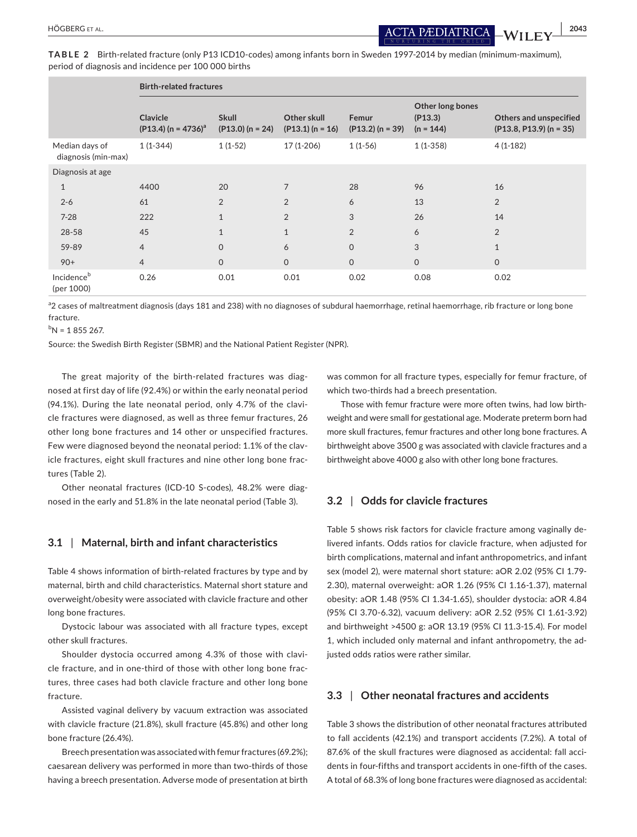**TABLE 2** Birth-related fracture (only P13 ICD10-codes) among infants born in Sweden 1997-2014 by median (minimum-maximum), period of diagnosis and incidence per 100 000 births

|                                       | <b>Birth-related fractures</b>       |                                    |                                   |                             |                                            |                                                     |
|---------------------------------------|--------------------------------------|------------------------------------|-----------------------------------|-----------------------------|--------------------------------------------|-----------------------------------------------------|
|                                       | Clavicle<br>$(P13.4) (n = 4736)^{a}$ | <b>Skull</b><br>$(P13.0) (n = 24)$ | Other skull<br>$(P13.1) (n = 16)$ | Femur<br>$(P13.2) (n = 39)$ | Other long bones<br>(P13.3)<br>$(n = 144)$ | Others and unspecified<br>$(P13.8, P13.9)$ (n = 35) |
| Median days of<br>diagnosis (min-max) | $1(1-344)$                           | $1(1-52)$                          | $17(1-206)$                       | $1(1-56)$                   | $1(1-358)$                                 | $4(1-182)$                                          |
| Diagnosis at age                      |                                      |                                    |                                   |                             |                                            |                                                     |
| 1                                     | 4400                                 | 20                                 | $\overline{7}$                    | 28                          | 96                                         | 16                                                  |
| $2 - 6$                               | 61                                   | $\overline{2}$                     | $\overline{2}$                    | 6                           | 13                                         | $\overline{2}$                                      |
| $7 - 28$                              | 222                                  | $\mathbf{1}$                       | $\overline{2}$                    | 3                           | 26                                         | 14                                                  |
| 28-58                                 | 45                                   | $\mathbf{1}$                       | $\mathbf{1}$                      | $\overline{2}$              | 6                                          | $\overline{2}$                                      |
| 59-89                                 | $\overline{4}$                       | $\Omega$                           | 6                                 | $\mathsf{O}$                | 3                                          | $\mathbf{1}$                                        |
| $90+$                                 | $\overline{4}$                       | $\mathsf{O}$                       | $\Omega$                          | $\mathsf{O}$                | $\mathbf 0$                                | $\mathbf{O}$                                        |
| Incidence <sup>b</sup><br>(per 1000)  | 0.26                                 | 0.01                               | 0.01                              | 0.02                        | 0.08                                       | 0.02                                                |

<sup>a</sup>2 cases of maltreatment diagnosis (days 181 and 238) with no diagnoses of subdural haemorrhage, retinal haemorrhage, rib fracture or long bone fracture.

 ${}^{\text{b}}$ N = 1 855 267.

Source: the Swedish Birth Register (SBMR) and the National Patient Register (NPR).

The great majority of the birth-related fractures was diagnosed at first day of life (92.4%) or within the early neonatal period (94.1%). During the late neonatal period, only 4.7% of the clavicle fractures were diagnosed, as well as three femur fractures, 26 other long bone fractures and 14 other or unspecified fractures. Few were diagnosed beyond the neonatal period: 1.1% of the clavicle fractures, eight skull fractures and nine other long bone fractures (Table 2).

Other neonatal fractures (ICD-10 S-codes), 48.2% were diagnosed in the early and 51.8% in the late neonatal period (Table 3).

# **3.1** | **Maternal, birth and infant characteristics**

Table 4 shows information of birth-related fractures by type and by maternal, birth and child characteristics. Maternal short stature and overweight/obesity were associated with clavicle fracture and other long bone fractures.

Dystocic labour was associated with all fracture types, except other skull fractures.

Shoulder dystocia occurred among 4.3% of those with clavicle fracture, and in one-third of those with other long bone fractures, three cases had both clavicle fracture and other long bone fracture.

Assisted vaginal delivery by vacuum extraction was associated with clavicle fracture (21.8%), skull fracture (45.8%) and other long bone fracture (26.4%).

Breech presentation was associated with femur fractures (69.2%); caesarean delivery was performed in more than two-thirds of those having a breech presentation. Adverse mode of presentation at birth was common for all fracture types, especially for femur fracture, of which two-thirds had a breech presentation.

Those with femur fracture were more often twins, had low birthweight and were small for gestational age. Moderate preterm born had more skull fractures, femur fractures and other long bone fractures. A birthweight above 3500 g was associated with clavicle fractures and a birthweight above 4000 g also with other long bone fractures.

### **3.2** | **Odds for clavicle fractures**

Table 5 shows risk factors for clavicle fracture among vaginally delivered infants. Odds ratios for clavicle fracture, when adjusted for birth complications, maternal and infant anthropometrics, and infant sex (model 2), were maternal short stature: aOR 2.02 (95% CI 1.79- 2.30), maternal overweight: aOR 1.26 (95% CI 1.16-1.37), maternal obesity: aOR 1.48 (95% CI 1.34-1.65), shoulder dystocia: aOR 4.84 (95% CI 3.70-6.32), vacuum delivery: aOR 2.52 (95% CI 1.61-3.92) and birthweight >4500 g: aOR 13.19 (95% CI 11.3-15.4). For model 1, which included only maternal and infant anthropometry, the adjusted odds ratios were rather similar.

# **3.3** | **Other neonatal fractures and accidents**

Table 3 shows the distribution of other neonatal fractures attributed to fall accidents (42.1%) and transport accidents (7.2%). A total of 87.6% of the skull fractures were diagnosed as accidental: fall accidents in four-fifths and transport accidents in one-fifth of the cases. A total of 68.3% of long bone fractures were diagnosed as accidental: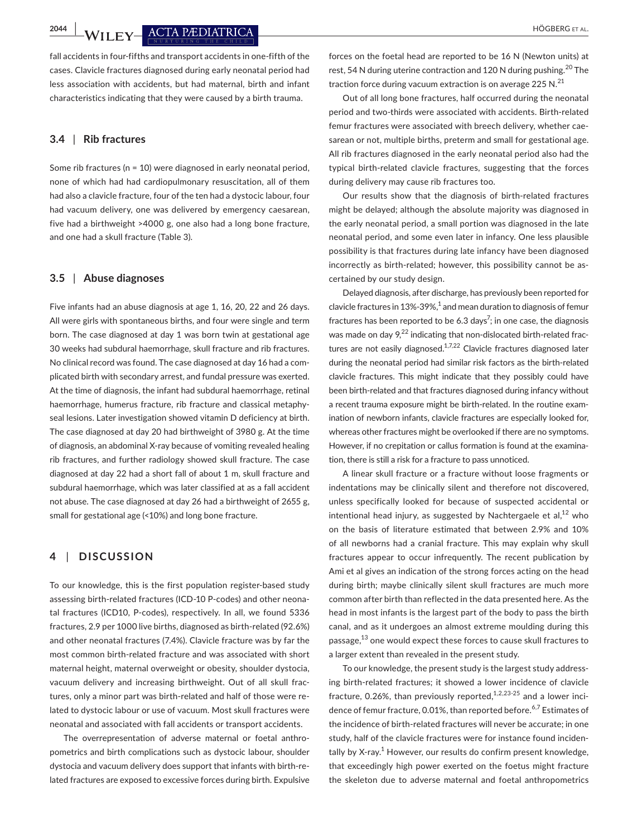**2044 WII EV ACTA PEDIATRICA** 

fall accidents in four-fifths and transport accidents in one-fifth of the cases. Clavicle fractures diagnosed during early neonatal period had less association with accidents, but had maternal, birth and infant characteristics indicating that they were caused by a birth trauma.

# **3.4** | **Rib fractures**

Some rib fractures (n = 10) were diagnosed in early neonatal period, none of which had had cardiopulmonary resuscitation, all of them had also a clavicle fracture, four of the ten had a dystocic labour, four had vacuum delivery, one was delivered by emergency caesarean, five had a birthweight >4000 g, one also had a long bone fracture, and one had a skull fracture (Table 3).

## **3.5** | **Abuse diagnoses**

Five infants had an abuse diagnosis at age 1, 16, 20, 22 and 26 days. All were girls with spontaneous births, and four were single and term born. The case diagnosed at day 1 was born twin at gestational age 30 weeks had subdural haemorrhage, skull fracture and rib fractures. No clinical record was found. The case diagnosed at day 16 had a complicated birth with secondary arrest, and fundal pressure was exerted. At the time of diagnosis, the infant had subdural haemorrhage, retinal haemorrhage, humerus fracture, rib fracture and classical metaphyseal lesions. Later investigation showed vitamin D deficiency at birth. The case diagnosed at day 20 had birthweight of 3980 g. At the time of diagnosis, an abdominal X-ray because of vomiting revealed healing rib fractures, and further radiology showed skull fracture. The case diagnosed at day 22 had a short fall of about 1 m, skull fracture and subdural haemorrhage, which was later classified at as a fall accident not abuse. The case diagnosed at day 26 had a birthweight of 2655 g, small for gestational age (<10%) and long bone fracture.

# **4** | **DISCUSSION**

To our knowledge, this is the first population register-based study assessing birth-related fractures (ICD-10 P-codes) and other neonatal fractures (ICD10, P-codes), respectively. In all, we found 5336 fractures, 2.9 per 1000 live births, diagnosed as birth-related (92.6%) and other neonatal fractures (7.4%). Clavicle fracture was by far the most common birth-related fracture and was associated with short maternal height, maternal overweight or obesity, shoulder dystocia, vacuum delivery and increasing birthweight. Out of all skull fractures, only a minor part was birth-related and half of those were related to dystocic labour or use of vacuum. Most skull fractures were neonatal and associated with fall accidents or transport accidents.

The overrepresentation of adverse maternal or foetal anthropometrics and birth complications such as dystocic labour, shoulder dystocia and vacuum delivery does support that infants with birth-related fractures are exposed to excessive forces during birth. Expulsive forces on the foetal head are reported to be 16 N (Newton units) at rest, 54 N during uterine contraction and 120 N during pushing.<sup>20</sup> The traction force during vacuum extraction is on average 225 N. $^{21}$ 

Out of all long bone fractures, half occurred during the neonatal period and two-thirds were associated with accidents. Birth-related femur fractures were associated with breech delivery, whether caesarean or not, multiple births, preterm and small for gestational age. All rib fractures diagnosed in the early neonatal period also had the typical birth-related clavicle fractures, suggesting that the forces during delivery may cause rib fractures too.

Our results show that the diagnosis of birth-related fractures might be delayed; although the absolute majority was diagnosed in the early neonatal period, a small portion was diagnosed in the late neonatal period, and some even later in infancy. One less plausible possibility is that fractures during late infancy have been diagnosed incorrectly as birth-related; however, this possibility cannot be ascertained by our study design.

Delayed diagnosis, after discharge, has previously been reported for clavicle fractures in 13%-39%, $^1$  and mean duration to diagnosis of femur fractures has been reported to be 6.3 days<sup>7</sup>; in one case, the diagnosis was made on day  $9^{22}$  indicating that non-dislocated birth-related fractures are not easily diagnosed. $1,7,22$  Clavicle fractures diagnosed later during the neonatal period had similar risk factors as the birth-related clavicle fractures. This might indicate that they possibly could have been birth-related and that fractures diagnosed during infancy without a recent trauma exposure might be birth-related. In the routine examination of newborn infants, clavicle fractures are especially looked for, whereas other fractures might be overlooked if there are no symptoms. However, if no crepitation or callus formation is found at the examination, there is still a risk for a fracture to pass unnoticed.

A linear skull fracture or a fracture without loose fragments or indentations may be clinically silent and therefore not discovered, unless specifically looked for because of suspected accidental or intentional head injury, as suggested by Nachtergaele et al, $^{12}$  who on the basis of literature estimated that between 2.9% and 10% of all newborns had a cranial fracture. This may explain why skull fractures appear to occur infrequently. The recent publication by Ami et al gives an indication of the strong forces acting on the head during birth; maybe clinically silent skull fractures are much more common after birth than reflected in the data presented here. As the head in most infants is the largest part of the body to pass the birth canal, and as it undergoes an almost extreme moulding during this passage,<sup>13</sup> one would expect these forces to cause skull fractures to a larger extent than revealed in the present study.

To our knowledge, the present study is the largest study addressing birth-related fractures; it showed a lower incidence of clavicle fracture, 0.26%, than previously reported, $1,2,23-25$  and a lower incidence of femur fracture, 0.01%, than reported before.<sup>6,7</sup> Estimates of the incidence of birth-related fractures will never be accurate; in one study, half of the clavicle fractures were for instance found incidentally by X-ray. $^1$  However, our results do confirm present knowledge, that exceedingly high power exerted on the foetus might fracture the skeleton due to adverse maternal and foetal anthropometrics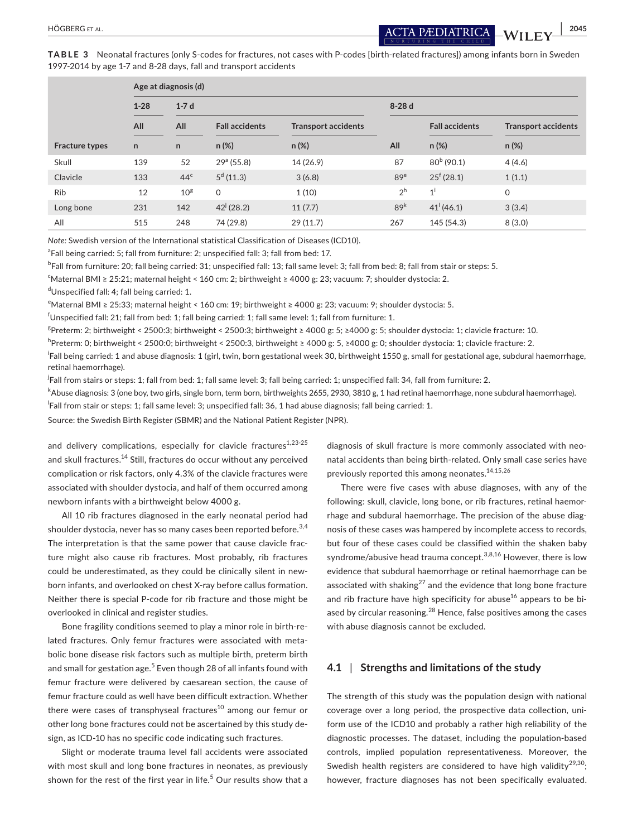**TABLE 3** Neonatal fractures (only S-codes for fractures, not cases with P-codes [birth-related fractures]) among infants born in Sweden 1997-2014 by age 1-7 and 8-28 days, fall and transport accidents

|                       |                    | Age at diagnosis (d) |                        |                            |                 |                       |                            |  |
|-----------------------|--------------------|----------------------|------------------------|----------------------------|-----------------|-----------------------|----------------------------|--|
|                       | $1-7d$<br>$1 - 28$ |                      |                        |                            |                 | $8-28d$               |                            |  |
|                       | All                | All                  | <b>Fall accidents</b>  | <b>Transport accidents</b> |                 | <b>Fall accidents</b> | <b>Transport accidents</b> |  |
| <b>Fracture types</b> | $\mathsf{n}$       | n.                   | $n (\%)$               | $n (\%)$                   | All             | $n (\%)$              | n(%)                       |  |
| Skull                 | 139                | 52                   | 29 <sup>a</sup> (55.8) | 14 (26.9)                  | 87              | $80^{b}$ (90.1)       | 4(4.6)                     |  |
| Clavicle              | 133                | 44 <sup>c</sup>      | $5^d$ (11.3)           | 3(6.8)                     | 89 <sup>e</sup> | $25^{\circ}$ (28.1)   | 1(1.1)                     |  |
| <b>Rib</b>            | 12                 | $10^{\rm g}$         | $\Omega$               | 1(10)                      | 2 <sup>h</sup>  | $1^{\mathrm{i}}$      | $\mathbf 0$                |  |
| Long bone             | 231                | 142                  | $42^{j}$ (28.2)        | 11(7.7)                    | 89 <sup>k</sup> | $41^{(46.1)}$         | 3(3.4)                     |  |
| All                   | 515                | 248                  | 74 (29.8)              | 29(11.7)                   | 267             | 145 (54.3)            | 8(3.0)                     |  |

*Note:* Swedish version of the International statistical Classification of Diseases (ICD10).

<sup>a</sup>Fall being carried: 5; fall from furniture: 2; unspecified fall: 3; fall from bed: 17.

b Fall from furniture: 20; fall being carried: 31; unspecified fall: 13; fall same level: 3; fall from bed: 8; fall from stair or steps: 5.

c Maternal BMI ≥ 25:21; maternal height < 160 cm: 2; birthweight ≥ 4000 g: 23; vacuum: 7; shoulder dystocia: 2.

d Unspecified fall: 4; fall being carried: 1.

e Maternal BMI ≥ 25:33; maternal height < 160 cm: 19; birthweight ≥ 4000 g: 23; vacuum: 9; shoulder dystocia: 5.

 $^{\mathsf{f}}$ Unspecified fall: 21; fall from bed: 1; fall being carried: 1; fall same level: 1; fall from furniture: 1.

g Preterm: 2; birthweight < 2500:3; birthweight < 2500:3; birthweight ≥ 4000 g: 5; ≥4000 g: 5; shoulder dystocia: 1; clavicle fracture: 10.

h Preterm: 0; birthweight < 2500:0; birthweight < 2500:3, birthweight ≥ 4000 g: 5, ≥4000 g: 0; shoulder dystocia: 1; clavicle fracture: 2.

<sup>i</sup>Fall being carried: 1 and abuse diagnosis: 1 (girl, twin, born gestational week 30, birthweight 1550 g, small for gestational age, subdural haemorrhage, retinal haemorrhage).

.<br><sup>j</sup>Fall from stairs or steps: 1; fall from bed: 1; fall same level: 3; fall being carried: 1; unspecified fall: 34, fall from furniture: 2.

k Abuse diagnosis: 3 (one boy, two girls, single born, term born, birthweights 2655, 2930, 3810 g, 1 had retinal haemorrhage, none subdural haemorrhage).

l Fall from stair or steps: 1; fall same level: 3; unspecified fall: 36, 1 had abuse diagnosis; fall being carried: 1.

Source: the Swedish Birth Register (SBMR) and the National Patient Register (NPR).

and delivery complications, especially for clavicle fractures $1,23-25$ and skull fractures.<sup>14</sup> Still, fractures do occur without any perceived complication or risk factors, only 4.3% of the clavicle fractures were associated with shoulder dystocia, and half of them occurred among newborn infants with a birthweight below 4000 g.

All 10 rib fractures diagnosed in the early neonatal period had shoulder dystocia, never has so many cases been reported before.<sup>3,4</sup> The interpretation is that the same power that cause clavicle fracture might also cause rib fractures. Most probably, rib fractures could be underestimated, as they could be clinically silent in newborn infants, and overlooked on chest X-ray before callus formation. Neither there is special P-code for rib fracture and those might be overlooked in clinical and register studies.

Bone fragility conditions seemed to play a minor role in birth-related fractures. Only femur fractures were associated with metabolic bone disease risk factors such as multiple birth, preterm birth and small for gestation age.<sup>5</sup> Even though 28 of all infants found with femur fracture were delivered by caesarean section, the cause of femur fracture could as well have been difficult extraction. Whether there were cases of transphyseal fractures $10$  among our femur or other long bone fractures could not be ascertained by this study design, as ICD-10 has no specific code indicating such fractures.

Slight or moderate trauma level fall accidents were associated with most skull and long bone fractures in neonates, as previously shown for the rest of the first year in life. $^5$  Our results show that a diagnosis of skull fracture is more commonly associated with neonatal accidents than being birth-related. Only small case series have previously reported this among neonates.<sup>14,15,26</sup>

There were five cases with abuse diagnoses, with any of the following: skull, clavicle, long bone, or rib fractures, retinal haemorrhage and subdural haemorrhage. The precision of the abuse diagnosis of these cases was hampered by incomplete access to records, but four of these cases could be classified within the shaken baby syndrome/abusive head trauma concept.<sup>3,8,16</sup> However, there is low evidence that subdural haemorrhage or retinal haemorrhage can be associated with shaking<sup>27</sup> and the evidence that long bone fracture and rib fracture have high specificity for abuse $^{16}$  appears to be biased by circular reasoning. $^{28}$  Hence, false positives among the cases with abuse diagnosis cannot be excluded.

# **4.1** | **Strengths and limitations of the study**

The strength of this study was the population design with national coverage over a long period, the prospective data collection, uniform use of the ICD10 and probably a rather high reliability of the diagnostic processes. The dataset, including the population-based controls, implied population representativeness. Moreover, the Swedish health registers are considered to have high validity $^{29,30}$ ; however, fracture diagnoses has not been specifically evaluated.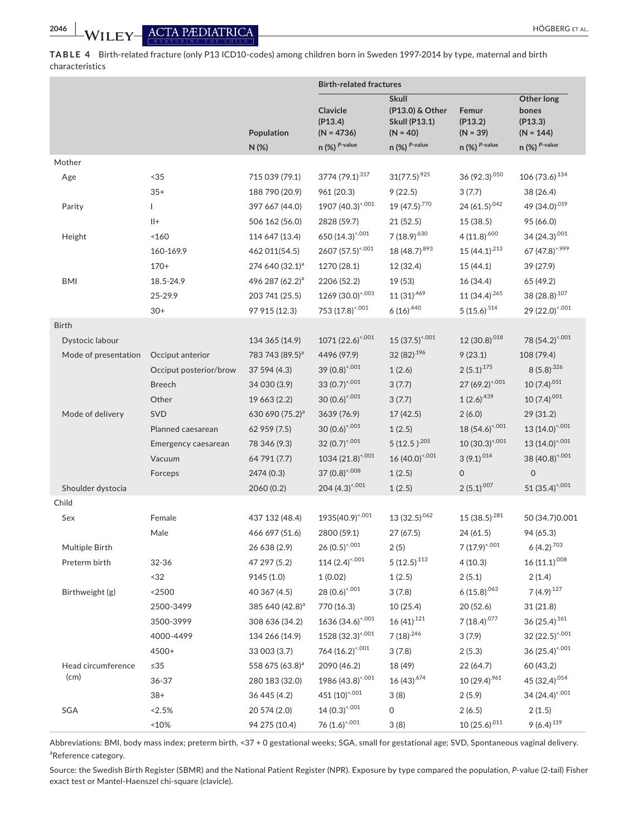**TABLE 4** Birth-related fracture (only P13 ICD10-codes) among children born in Sweden 1997-2014 by type, maternal and birth characteristics

|                                         |                                                                             |                                                                                                                | <b>Birth-related fractures</b>                                                                                                     |                                                                                                  |                                                                                       |                                                                                                                     |
|-----------------------------------------|-----------------------------------------------------------------------------|----------------------------------------------------------------------------------------------------------------|------------------------------------------------------------------------------------------------------------------------------------|--------------------------------------------------------------------------------------------------|---------------------------------------------------------------------------------------|---------------------------------------------------------------------------------------------------------------------|
|                                         |                                                                             | Population<br>N(%)                                                                                             | Clavicle<br>(P13.4)<br>$(N = 4736)$<br>$n$ (%) $P$ -value                                                                          | <b>Skull</b><br>(P13.0) & Other<br><b>Skull (P13.1)</b><br>$(N = 40)$<br>$n$ (%) $P$ -value      | Femur<br>(P13.2)<br>$(N = 39)$<br>$n$ (%) $^{P-value}$                                | Other long<br>bones<br>(P13.3)<br>$(N = 144)$<br>$n$ (%) $P$ -value                                                 |
| Mother                                  |                                                                             |                                                                                                                |                                                                                                                                    |                                                                                                  |                                                                                       |                                                                                                                     |
| Age<br>Parity                           | < 35<br>$35+$<br>L<br>$   +$<br>< 160                                       | 715 039 (79.1)<br>188 790 (20.9)<br>397 667 (44.0)<br>506 162 (56.0)<br>114 647 (13.4)                         | 3774 (79.1) <sup>317</sup><br>961 (20.3)<br>1907 (40.3) <sup>&lt;.001</sup><br>2828 (59.7)<br>650 (14.3) <sup>&lt;,001</sup>       | $31(77.5)^{925}$<br>9(22.5)<br>19 (47.5) <sup>.770</sup><br>21(52.5)<br>7 (18.9) <sup>.630</sup> | 36 (92.3).050<br>3(7.7)<br>24 (61.5) $.042$<br>15(38.5)<br>$4(11.8)^{.600}$           | 106 (73.6) $134$<br>38 (26.4)<br>49 (34.0) <sup>.019</sup><br>95 (66.0)<br>34 (24.3).001                            |
| Height<br><b>BMI</b>                    | 160-169.9<br>$170+$<br>18.5-24.9<br>25-29.9<br>$30+$                        | 462 011(54.5)<br>274 640 (32.1) <sup>a</sup><br>496 287 (62.2) <sup>a</sup><br>203 741 (25.5)<br>97 915 (12.3) | 2607 (57.5) <sup>&lt;,001</sup><br>1270 (28.1)<br>2206 (52.2)<br>1269 (30.0) <sup>&lt;.001</sup><br>753 (17.8) <sup>&lt;.001</sup> | 18 (48.7).893<br>12 (32.4)<br>19 (53)<br>$11(31)^{.469}$<br>$6(16)^{.440}$                       | 15 $(44.1)^{213}$<br>15(44.1)<br>16 (34.4)<br>11 (34.4) $265$<br>$5(15.6)^{.514}$     | 67 (47.8) <sup>&gt;.999</sup><br>39 (27.9)<br>65 (49.2)<br>38 (28.8):107<br>29 (22.0) <sup>&lt;.001</sup>           |
| <b>Birth</b>                            |                                                                             |                                                                                                                |                                                                                                                                    |                                                                                                  |                                                                                       |                                                                                                                     |
| Dystocic labour<br>Mode of presentation | Occiput anterior                                                            | 134 365 (14.9)<br>783 743 (89.5) <sup>a</sup>                                                                  | $1071 (22.6)^{4.001}$<br>4496 (97.9)                                                                                               | $15(37.5)^{4.001}$<br>32 (82) $^{196}$                                                           | 12 (30.8) $.018$<br>9(23.1)                                                           | 78 (54.2) <sup>&lt;.001</sup><br>108 (79.4)                                                                         |
|                                         | Occiput posterior/brow<br><b>Breech</b><br>Other                            | 37 594 (4.3)<br>34 030 (3.9)<br>19 663 (2.2)                                                                   | 39 $(0.8)^{4.001}$<br>33 $(0.7)^{4.001}$<br>$30(0.6)^{4.001}$                                                                      | 1(2.6)<br>3(7.7)<br>3(7.7)                                                                       | $2(5.1)^{.175}$<br>$27(69.2)^{4.001}$<br>$1(2.6)^{439}$                               | $8(5.8)^{0.326}$<br>$10(7.4)^{0.51}$<br>$10(7.4)^{0.001}$                                                           |
| Mode of delivery                        | <b>SVD</b><br>Planned caesarean<br>Emergency caesarean<br>Vacuum<br>Forceps | 630 690 (75.2) <sup>a</sup><br>62 959 (7.5)<br>78 346 (9.3)<br>64 791 (7.7)<br>2474 (0.3)                      | 3639 (76.9)<br>$30(0.6)^{4.001}$<br>32 $(0.7)^{4.001}$<br>$1034(21.8)^{4.001}$<br>37 (0.8) <sup>&lt;.008</sup>                     | 17(42.5)<br>1(2.5)<br>5 (12.5) $^{.205}$<br>$16(40.0)^{4.001}$<br>1(2.5)                         | 2(6.0)<br>$18(54.6)^{4.001}$<br>$10(30.3)^{4.001}$<br>$3(9.1)^{0.014}$<br>$\mathbf 0$ | 29(31.2)<br>13 (14.0) <sup>&lt;.001</sup><br>13 $(14.0)^{4.001}$<br>38 (40.8) <sup>&lt;.001</sup><br>$\overline{0}$ |
| Shoulder dystocia                       |                                                                             | 2060 (0.2)                                                                                                     | 204 $(4.3)^{4.001}$                                                                                                                | 1(2.5)                                                                                           | $2(5.1)^{.007}$                                                                       | 51 (35.4) $0.001$                                                                                                   |
| Child                                   |                                                                             |                                                                                                                |                                                                                                                                    |                                                                                                  |                                                                                       |                                                                                                                     |
| Sex                                     | Female<br>Male                                                              | 437 132 (48.4)<br>466 697 (51.6)                                                                               | 1935(40.9) <sup>&lt;.001</sup><br>2800 (59.1)                                                                                      | $13(32.5)^{062}$<br>27(67.5)                                                                     | $15(38.5)^{281}$<br>24(61.5)                                                          | 50 (34.7) 0.001<br>94 (65.3)                                                                                        |
| Multiple Birth                          |                                                                             | 26 638 (2.9)                                                                                                   | $26 (0.5)^{4.001}$                                                                                                                 | 2(5)                                                                                             | 7 $(17.9)^{4.001}$                                                                    | $6(4.2)^{.703}$                                                                                                     |
| Preterm birth                           | 32-36<br>$32$                                                               | 47 297 (5.2)<br>9145 (1.0)                                                                                     | 114 $(2.4)^{4.001}$<br>1(0.02)                                                                                                     | $5(12.5)^{.113}$<br>1(2.5)                                                                       | 4(10.3)<br>2(5.1)                                                                     | $16(11.1)^{.008}$<br>2(1.4)                                                                                         |
| Birthweight (g)                         | < 2500<br>2500-3499<br>3500-3999<br>4000-4499<br>4500+                      | 40 367 (4.5)<br>385 640 (42.8) <sup>a</sup><br>308 636 (34.2)<br>134 266 (14.9)<br>33 003 (3.7)                | 28 $(0.6)^{4.001}$<br>770 (16.3)<br>$1636 (34.6)^{4.001}$<br>1528 (32.3) <sup>&lt;,001</sup><br>764 (16.2) <sup>&lt;,001</sup>     | 3(7.8)<br>10 (25.4)<br>$16(41)^{.121}$<br>$7(18)^{.246}$<br>3(7.8)                               | $6(15.8)^{063}$<br>20 (52.6)<br>7 (18.4) $.077$<br>3(7.9)<br>2(5.3)                   | 7 $(4.9)^{.127}$<br>31 (21.8)<br>36 (25.4) $161$<br>32 (22.5) $5,001$<br>$36(25.4)^{4.001}$                         |
| Head circumference<br>(cm)              | $\leq 35$<br>$36 - 37$<br>$38+$                                             | 558 675 (63.8) <sup>a</sup><br>280 183 (32.0)<br>36 445 (4.2)                                                  | 2090 (46.2)<br>1986 (43.8) <sup>&lt;.001</sup><br>451 (10) <sup>&lt;.001</sup>                                                     | 18 (49)<br>$16(43)^{.674}$<br>3(8)                                                               | 22 (64.7)<br>$10(29.4)^{.961}$<br>2(5.9)                                              | 60 (43,2)<br>45 (32,4) <sup>.054</sup><br>34 (24.4) <sup>&lt;.001</sup>                                             |
| SGA                                     | < 2.5%<br>$~10\%$                                                           | 20 574 (2.0)<br>94 275 (10.4)                                                                                  | $14(0.3)^{4.001}$<br>76 $(1.6)^{4.001}$                                                                                            | 0<br>3(8)                                                                                        | 2(6.5)<br>$10(25.6)^{011}$                                                            | 2(1.5)<br>$9(6.4)^{.119}$                                                                                           |

Abbreviations: BMI, body mass index; preterm birth, <37 + 0 gestational weeks; SGA, small for gestational age; SVD, Spontaneous vaginal delivery. <sup>a</sup>Reference category.

Source: the Swedish Birth Register (SBMR) and the National Patient Register (NPR). Exposure by type compared the population, *P*-value (2-tail) Fisher exact test or Mantel-Haenszel chi-square (clavicle).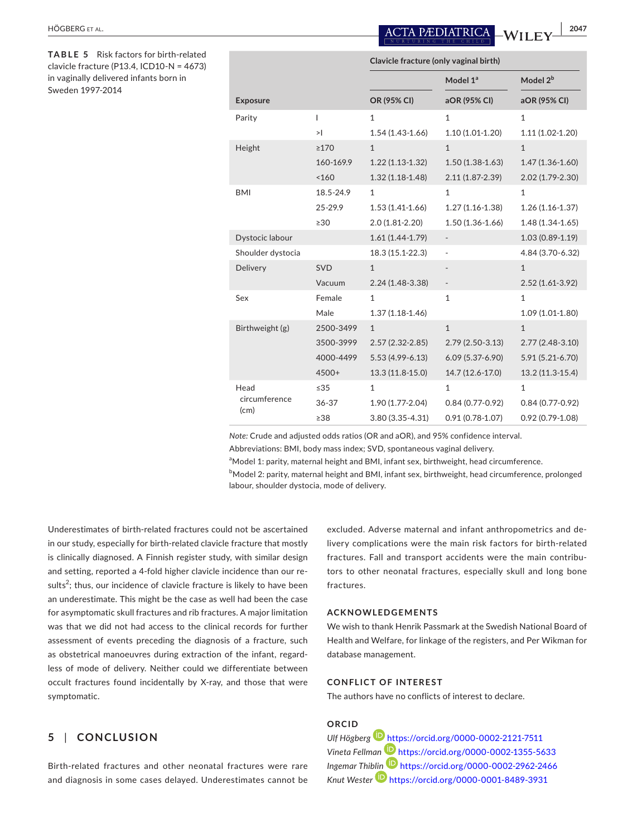| <b>HÖGBERG ET</b> | <b>ACTA PÆDIATRICA</b> WI | 2047 |
|-------------------|---------------------------|------|
|                   |                           |      |

**TABLE 5** Risk factors for birth-related clavicle fracture (P13.4, ICD10-N = 4673) in vaginally delivered infants born in Sweden 1997-2014

|                   | Clavicle fracture (only vaginal birth) |                     |                              |                      |  |
|-------------------|----------------------------------------|---------------------|------------------------------|----------------------|--|
|                   |                                        |                     | Model 1ª                     | Model 2 <sup>b</sup> |  |
| <b>Exposure</b>   |                                        | OR (95% CI)         | aOR (95% CI)                 | aOR (95% CI)         |  |
| Parity            | $\overline{1}$                         | $\mathbf{1}$        | $\mathbf{1}$                 | $\mathbf{1}$         |  |
|                   | >1                                     | $1.54(1.43-1.66)$   | $1.10(1.01-1.20)$            | $1.11(1.02-1.20)$    |  |
| Height            | $\geq$ 170                             | $\mathbf{1}$        | $\mathbf{1}$                 | $\mathbf{1}$         |  |
|                   | 160-169.9                              | $1.22(1.13-1.32)$   | $1.50(1.38-1.63)$            | $1.47(1.36 - 1.60)$  |  |
|                   | < 160                                  | $1.32(1.18-1.48)$   | 2.11 (1.87-2.39)             | 2.02 (1.79-2.30)     |  |
| <b>BMI</b>        | 18.5-24.9                              | $\mathbf{1}$        | $\mathbf{1}$                 | $\mathbf{1}$         |  |
|                   | 25-29.9                                | $1.53(1.41-1.66)$   | $1.27(1.16 - 1.38)$          | $1.26(1.16-1.37)$    |  |
|                   | $\geq 30$                              | 2.0 (1.81-2.20)     | $1.50(1.36 - 1.66)$          | $1.48(1.34-1.65)$    |  |
| Dystocic labour   |                                        | $1.61(1.44-1.79)$   |                              | $1.03(0.89 - 1.19)$  |  |
| Shoulder dystocia |                                        | 18.3 (15.1-22.3)    | ÷,                           | 4.84 (3.70-6.32)     |  |
| Delivery          | <b>SVD</b>                             | $\mathbf{1}$        |                              | $\mathbf{1}$         |  |
|                   | Vacuum                                 | $2.24(1.48-3.38)$   | $\qquad \qquad \blacksquare$ | $2.52(1.61-3.92)$    |  |
| Sex               | Female                                 | $\mathbf{1}$        | $\mathbf{1}$                 | $\mathbf{1}$         |  |
|                   | Male                                   | $1.37(1.18-1.46)$   |                              | $1.09(1.01-1.80)$    |  |
| Birthweight (g)   | 2500-3499                              | $\mathbf{1}$        | $\mathbf{1}$                 | $\mathbf{1}$         |  |
|                   | 3500-3999                              | $2.57(2.32 - 2.85)$ | $2.79(2.50-3.13)$            | $2.77(2.48-3.10)$    |  |
|                   | 4000-4499                              | $5.53(4.99 - 6.13)$ | 6.09 (5.37-6.90)             | $5.91(5.21 - 6.70)$  |  |
|                   | 4500+                                  | 13.3 (11.8-15.0)    | 14.7 (12.6-17.0)             | 13.2 (11.3-15.4)     |  |
| Head              | $\leq 35$                              | $\mathbf{1}$        | $\mathbf{1}$                 | $\mathbf{1}$         |  |
| circumference     | $36 - 37$                              | 1.90 (1.77-2.04)    | $0.84(0.77-0.92)$            | $0.84(0.77-0.92)$    |  |
| (cm)              | $\geq$ 38                              | 3.80 (3.35-4.31)    | $0.91(0.78 - 1.07)$          | $0.92(0.79 - 1.08)$  |  |

*Note:* Crude and adjusted odds ratios (OR and aOR), and 95% confidence interval.

Abbreviations: BMI, body mass index; SVD, spontaneous vaginal delivery.

<sup>a</sup>Model 1: parity, maternal height and BMI, infant sex, birthweight, head circumference.

<sup>b</sup>Model 2: parity, maternal height and BMI, infant sex, birthweight, head circumference, prolonged labour, shoulder dystocia, mode of delivery.

Underestimates of birth-related fractures could not be ascertained in our study, especially for birth-related clavicle fracture that mostly is clinically diagnosed. A Finnish register study, with similar design and setting, reported a 4-fold higher clavicle incidence than our results $^{2}$ ; thus, our incidence of clavicle fracture is likely to have been an underestimate. This might be the case as well had been the case for asymptomatic skull fractures and rib fractures. A major limitation was that we did not had access to the clinical records for further assessment of events preceding the diagnosis of a fracture, such as obstetrical manoeuvres during extraction of the infant, regardless of mode of delivery. Neither could we differentiate between occult fractures found incidentally by X-ray, and those that were symptomatic.

# **5** | **CONCLUSION**

Birth-related fractures and other neonatal fractures were rare and diagnosis in some cases delayed. Underestimates cannot be excluded. Adverse maternal and infant anthropometrics and delivery complications were the main risk factors for birth-related fractures. Fall and transport accidents were the main contributors to other neonatal fractures, especially skull and long bone fractures.

# **ACKNOWLEDGEMENTS**

We wish to thank Henrik Passmark at the Swedish National Board of Health and Welfare, for linkage of the registers, and Per Wikman for database management.

# **CONFLICT OF INTEREST**

The authors have no conflicts of interest to declare.

# **ORCID**

*Ulf Högberg* <https://orcid.org/0000-0002-2121-7511> *Vineta Fellman* <https://orcid.org/0000-0002-1355-5633> *Ingemar Thi[blin](https://orcid.org/0000-0001-8489-3931)* <https://orcid.org/0000-0002-2962-2466> *Knut Wester* <https://orcid.org/0000-0001-8489-3931>